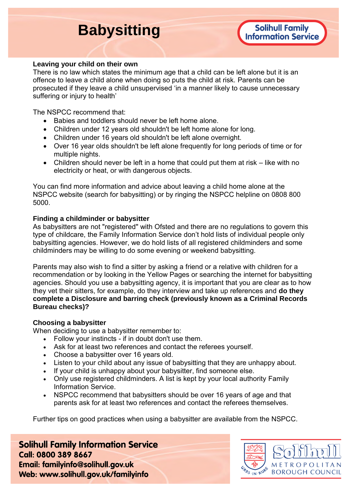# **Babysitting**

#### **Leaving your child on their own**

There is no law which states the minimum age that a child can be left alone but it is an offence to leave a child alone when doing so puts the child at risk. Parents can be prosecuted if they leave a child unsupervised 'in a manner likely to cause unnecessary suffering or injury to health'

The NSPCC recommend that:

- Babies and toddlers should never be left home alone.
- Children under 12 years old shouldn't be left home alone for long.
- Children under 16 years old shouldn't be left alone overnight.
- Over 16 year olds shouldn't be left alone frequently for long periods of time or for multiple nights.
- Children should never be left in a home that could put them at risk like with no electricity or heat, or with dangerous objects.

You can find more information and advice about leaving a child home alone at the NSPCC website (search for babysitting) or by ringing the NSPCC helpline on 0808 800 5000.

## **Finding a childminder or babysitter**

As babysitters are not "registered" with Ofsted and there are no regulations to govern this type of childcare, the Family Information Service don't hold lists of individual people only babysitting agencies. However, we do hold lists of all registered childminders and some childminders may be willing to do some evening or weekend babysitting.

Parents may also wish to find a sitter by asking a friend or a relative with children for a recommendation or by looking in the Yellow Pages or searching the internet for babysitting agencies. Should you use a babysitting agency, it is important that you are clear as to how they vet their sitters, for example, do they interview and take up references and **do they complete a Disclosure and barring check (previously known as a Criminal Records Bureau checks)?**

## **Choosing a babysitter**

When deciding to use a babysitter remember to:

- Follow your instincts if in doubt don't use them.
- Ask for at least two references and contact the referees yourself.
- Choose a babysitter over 16 years old.
- Listen to your child about any issue of babysitting that they are unhappy about.
- If your child is unhappy about your babysitter, find someone else.
- Only use registered childminders. A list is kept by your local authority Family Information Service.
- NSPCC recommend that babysitters should be over 16 years of age and that parents ask for at least two references and contact the referees themselves.

Further tips on good practices when using a babysitter are available from the NSPCC.

**Solihull Family Information Service** Call: 0800 389 8667 Email: familyinfo@solihull.gov.uk Web: www.solihull.gov.uk/familyinfo